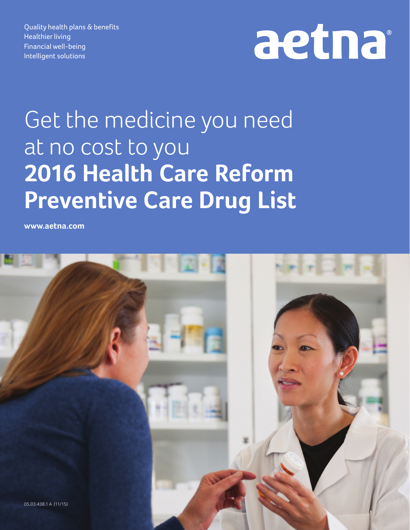Quality health plans & benefits Healthier living Financial well-being Intelligent solutions

## aetna

## Get the medicine you need at no cost to you **2016 Health Care Reform Preventive Care Drug List**

**www.aetna.com**

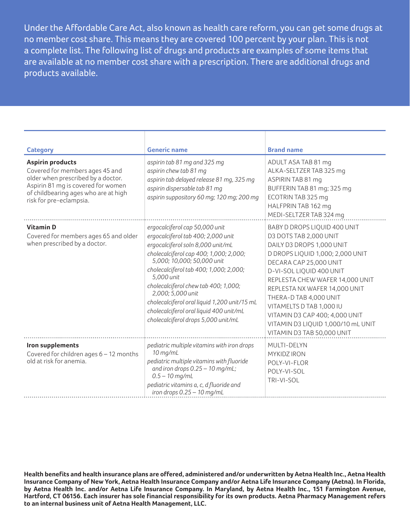Under the Affordable Care Act, also known as health care reform, you can get some drugs at no member cost share. This means they are covered 100 percent by your plan. This is not a complete list. The following list of drugs and products are examples of some items that are available at no member cost share with a prescription. There are additional drugs and products available.

| <b>Category</b>                                                                                                                                                                                           | <b>Generic name</b>                                                                                                                                                                                                                                                                                                                                                                                                                      | <b>Brand name</b>                                                                                                                                                                                                                                                                                                                                                                                             |
|-----------------------------------------------------------------------------------------------------------------------------------------------------------------------------------------------------------|------------------------------------------------------------------------------------------------------------------------------------------------------------------------------------------------------------------------------------------------------------------------------------------------------------------------------------------------------------------------------------------------------------------------------------------|---------------------------------------------------------------------------------------------------------------------------------------------------------------------------------------------------------------------------------------------------------------------------------------------------------------------------------------------------------------------------------------------------------------|
| <b>Aspirin products</b><br>Covered for members ages 45 and<br>older when prescribed by a doctor.<br>Aspirin 81 mg is covered for women<br>of childbearing ages who are at high<br>risk for pre-eclampsia. | aspirin tab 81 mg and 325 mg<br>aspirin chew tab 81 mg<br>aspirin tab delayed release 81 mg, 325 mg<br>aspirin dispersable tab 81 mq<br>aspirin suppository 60 mg; 120 mg; 200 mg                                                                                                                                                                                                                                                        | ADULT ASA TAB 81 mg<br>ALKA-SELTZER TAB 325 mg<br>ASPIRIN TAB 81 mg<br>BUFFERIN TAB 81 mg; 325 mg<br>ECOTRIN TAB 325 mg<br>HALFPRIN TAB 162 mg<br>MEDI-SELTZER TAB 324 mg                                                                                                                                                                                                                                     |
| <b>Vitamin D</b><br>Covered for members ages 65 and older<br>when prescribed by a doctor.                                                                                                                 | ergocalciferol cap 50,000 unit<br>ergocalciferol tab 400; 2,000 unit<br>ergocalciferol soln 8,000 unit/mL<br>cholecalciferol cap 400; 1,000; 2,000;<br>5,000; 10,000; 50,000 unit<br>cholecalciferol tab 400; 1,000; 2,000;<br>5.000 unit<br>cholecalciferol chew tab 400; 1,000;<br>2,000; 5,000 unit<br>cholecalciferol oral liquid 1,200 unit/15 mL<br>cholecalciferol oral liquid 400 unit/mL<br>cholecalciferol drops 5,000 unit/mL | BABY D DROPS LIQUID 400 UNIT<br>D3 DOTS TAB 2,000 UNIT<br>DAILY D3 DROPS 1,000 UNIT<br>D DROPS LIQUID 1,000; 2,000 UNIT<br>DECARA CAP 25,000 UNIT<br>D-VI-SOL LIQUID 400 UNIT<br>REPLESTA CHEW WAFER 14,000 UNIT<br>REPLESTA NX WAFER 14,000 UNIT<br>THERA-D TAB 4,000 UNIT<br>VITAMELTS D TAB 1,000 IU<br>VITAMIN D3 CAP 400; 4,000 UNIT<br>VITAMIN D3 LIQUID 1,000/10 mL UNIT<br>VITAMIN D3 TAB 50,000 UNIT |
| Iron supplements<br>Covered for children ages 6 - 12 months<br>old at risk for anemia.                                                                                                                    | pediatric multiple vitamins with iron drops<br>10 mg/mL<br>pediatric multiple vitamins with fluoride<br>and iron drops 0.25 - 10 mg/mL;<br>$0.5 - 10$ mg/mL<br>pediatric vitamins a, c, d fluoride and<br>iron drops $0.25 - 10$ mg/mL                                                                                                                                                                                                   | MULTI-DELYN<br>MYKIDZ IRON<br>POLY-VI-FLOR<br>POLY-VI-SOL<br>TRI-VI-SOL                                                                                                                                                                                                                                                                                                                                       |

**Health benefits and health insurance plans are offered, administered and/or underwritten by Aetna Health Inc., Aetna Health Insurance Company of New York, Aetna Health Insurance Company and/or Aetna Life Insurance Company (Aetna). In Florida, by Aetna Health Inc. and/or Aetna Life Insurance Company. In Maryland, by Aetna Health Inc., 151 Farmington Avenue, Hartford, CT 06156. Each insurer has sole financial responsibility for its own products. Aetna Pharmacy Management refers to an internal business unit of Aetna Health Management, LLC.**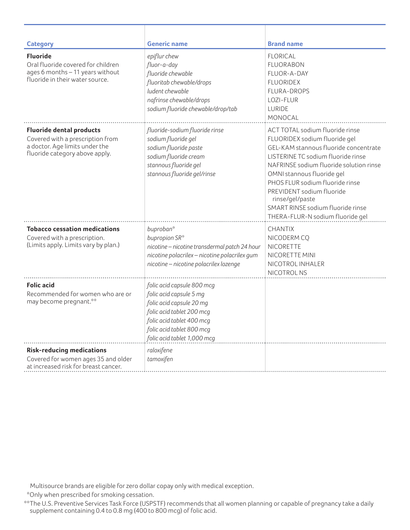| <b>Category</b>                                                                                                                         | <b>Generic name</b>                                                                                                                                                                                     | <b>Brand name</b>                                                                                                                                                                                                                                                                                                                                                                    |
|-----------------------------------------------------------------------------------------------------------------------------------------|---------------------------------------------------------------------------------------------------------------------------------------------------------------------------------------------------------|--------------------------------------------------------------------------------------------------------------------------------------------------------------------------------------------------------------------------------------------------------------------------------------------------------------------------------------------------------------------------------------|
| <b>Fluoride</b><br>Oral fluoride covered for children<br>ages 6 months - 11 years without<br>fluoride in their water source.            | epiflur chew<br>fluor-a-day<br>fluoride chewable<br>fluoritab chewable/drops<br>ludent chewable<br>nafrinse chewable/drops<br>sodium fluoride chewable/drop/tab                                         | <b>FLORICAL</b><br><b>FLUORABON</b><br>FLUOR-A-DAY<br><b>FLUORIDEX</b><br>FLURA-DROPS<br>LOZI-FLUR<br><b>LURIDE</b><br>MONOCAL                                                                                                                                                                                                                                                       |
| <b>Fluoride dental products</b><br>Covered with a prescription from<br>a doctor. Age limits under the<br>fluoride category above apply. | fluoride-sodium fluoride rinse<br>sodium fluoride gel<br>sodium fluoride paste<br>sodium fluoride cream<br>stannous fluoride gel<br>stannous fluoride gel/rinse                                         | ACT TOTAL sodium fluoride rinse<br>FLUORIDEX sodium fluoride gel<br>GEL-KAM stannous fluoride concentrate<br>LISTERINE TC sodium fluoride rinse<br>NAFRINSE sodium fluoride solution rinse<br>OMNI stannous fluoride gel<br>PHOS FLUR sodium fluoride rinse<br>PREVIDENT sodium fluoride<br>rinse/gel/paste<br>SMART RINSE sodium fluoride rinse<br>THERA-FLUR-N sodium fluoride gel |
| <b>Tobacco cessation medications</b><br>Covered with a prescription.<br>(Limits apply. Limits vary by plan.)                            | buproban*<br>bupropion SR*<br>nicotine - nicotine transdermal patch 24 hour<br>nicotine polacrilex - nicotine polacrilex gum<br>nicotine - nicotine polacrilex lozenge                                  | <b>CHANTIX</b><br>NICODERM CO<br>NICORETTE<br>NICORETTE MINI<br>NICOTROL INHALER<br>NICOTROL NS                                                                                                                                                                                                                                                                                      |
| <b>Folic acid</b><br>Recommended for women who are or<br>may become pregnant.**                                                         | folic acid capsule 800 mcg<br>folic acid capsule 5 mg<br>folic acid capsule 20 mg<br>folic acid tablet 200 mcg<br>folic acid tablet 400 mcq<br>folic acid tablet 800 mcg<br>folic acid tablet 1,000 mcg |                                                                                                                                                                                                                                                                                                                                                                                      |
| <b>Risk-reducing medications</b><br>Covered for women ages 35 and older<br>at increased risk for breast cancer.                         | raloxifene<br>tamoxifen                                                                                                                                                                                 |                                                                                                                                                                                                                                                                                                                                                                                      |

Multisource brands are eligible for zero dollar copay only with medical exception.

\*\*Only when prescribed for smoking cessation.

<sup>\*\*</sup>The U.S. Preventive Services Task Force (USPSTF) recommends that all women planning or capable of pregnancy take a daily supplement containing 0.4 to 0.8 mg (400 to 800 mcg) of folic acid.